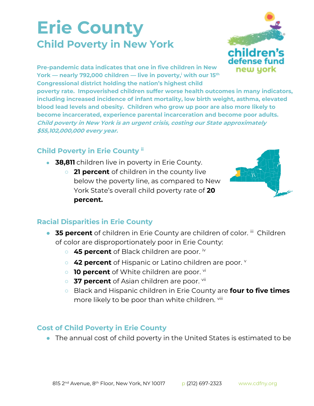## **Erie County Child Poverty in New York**



**Pre-pandemic data indicates that one in five children in New York — nearly 792,000 children — live in poverty,<sup>i</sup> with our 15th Congressional district holding the nation's highest child** 

**poverty rate. Impoverished children suffer worse health outcomes in many indicators, including increased incidence of infant mortality, low birth weight, asthma, elevated blood lead levels and obesity. Children who grow up poor are also more likely to become incarcerated, experience parental incarceration and become poor adults. Child poverty in New York is an urgent crisis, costing our State approximately \$55,102,000,000 every year.**

## **Child Poverty in Erie County ii**

- **38,811** children live in poverty in Erie County.
	- **21 percent** of children in the county live below the poverty line, as compared to New York State's overall child poverty rate of **20 percent.**



## **Racial Disparities in Erie County**

- **35 percent** of children in Erie County are children of color. iii Children of color are disproportionately poor in Erie County:
	- 45 percent of Black children are poor. iv
	- **42 percent** of Hispanic or Latino children are poor. **v**
	- **10 percent** of White children are poor. <sup>vi</sup>
	- 37 percent of Asian children are poor. <sup>vii</sup>
	- Black and Hispanic children in Erie County are **four to five times**  more likely to be poor than white children. Vill

## **Cost of Child Poverty in Erie County**

● The annual cost of child poverty in the United States is estimated to be